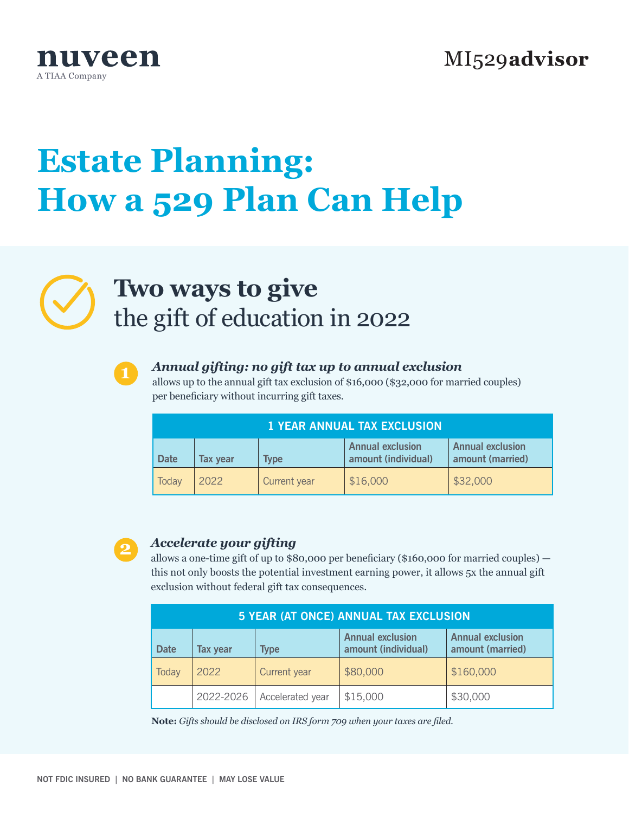### MI529advisor



# **Estate Planning: How a 529 Plan Can Help**

## **Two ways to give** the gift of education in 2022



#### *Annual gifting: no gift tax up to annual exclusion*

allows up to the annual gift tax exclusion of \$16,000 (\$32,000 for married couples) per beneficiary without incurring gift taxes.

| <b>1 YEAR ANNUAL TAX EXCLUSION</b> |          |              |                                                |                                             |  |  |
|------------------------------------|----------|--------------|------------------------------------------------|---------------------------------------------|--|--|
| <b>Date</b>                        | Tax year | Tvpe         | <b>Annual exclusion</b><br>amount (individual) | <b>Annual exclusion</b><br>amount (married) |  |  |
| Today                              | 2022     | Current year | \$16,000                                       | \$32,000                                    |  |  |



#### *Accelerate your gifting*

allows a one-time gift of up to \$80,000 per beneficiary (\$160,000 for married couples) this not only boosts the potential investment earning power, it allows 5x the annual gift exclusion without federal gift tax consequences.

| 5 YEAR (AT ONCE) ANNUAL TAX EXCLUSION |                 |                  |                                                |                                             |  |  |
|---------------------------------------|-----------------|------------------|------------------------------------------------|---------------------------------------------|--|--|
| <b>Date</b>                           | <b>Tax year</b> | <b>Type</b>      | <b>Annual exclusion</b><br>amount (individual) | <b>Annual exclusion</b><br>amount (married) |  |  |
| Today                                 | 2022            | Current year     | \$80,000                                       | \$160,000                                   |  |  |
|                                       | 2022-2026       | Accelerated year | \$15,000                                       | \$30,000                                    |  |  |

**Note:** *Gifts should be disclosed on IRS form 709 when your taxes are filed.*